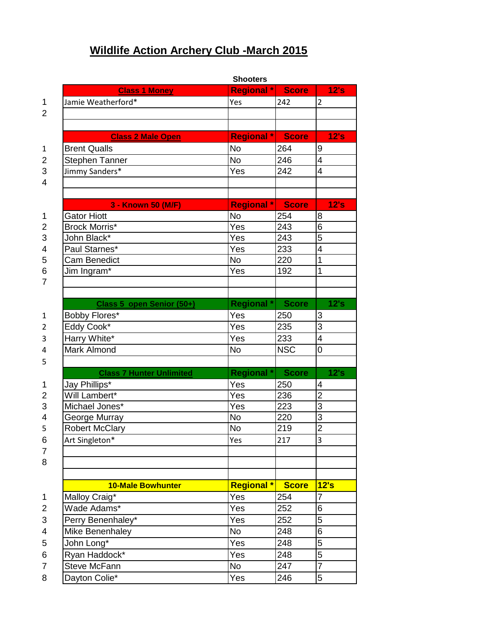## **Wildlife Action Archery Club -March 2015**

|                           | <b>Shooters</b>                 |                   |              |                |  |
|---------------------------|---------------------------------|-------------------|--------------|----------------|--|
|                           | <b>Class 1 Money</b>            | <b>Regional</b> * | <b>Score</b> | 12's           |  |
| $\mathbf 1$               | Jamie Weatherford*              | Yes               | 242          | 2              |  |
| $\overline{2}$            |                                 |                   |              |                |  |
|                           |                                 |                   |              |                |  |
|                           | <b>Class 2 Male Open</b>        | <b>Regional*</b>  | <b>Score</b> | 12's           |  |
| 1                         | <b>Brent Qualls</b>             | <b>No</b>         | 264          | 9              |  |
| $\overline{2}$            | <b>Stephen Tanner</b>           | <b>No</b>         | 246          | $\overline{4}$ |  |
| $\sqrt{3}$                | Jimmy Sanders*                  | Yes               | 242          | 4              |  |
| $\overline{4}$            |                                 |                   |              |                |  |
|                           |                                 |                   |              |                |  |
|                           | 3 - Known 50 (M/F)              | <b>Regional*</b>  | <b>Score</b> | 12's           |  |
| 1                         | <b>Gator Hiott</b>              | <b>No</b>         | 254          | 8              |  |
| $\overline{2}$            | Brock Morris*                   | Yes               | 243          | 6              |  |
| $\ensuremath{\mathsf{3}}$ | John Black*                     | Yes               | 243          | $\overline{5}$ |  |
| $\overline{4}$            | Paul Starnes*                   | Yes               | 233          | 4              |  |
| 5                         | <b>Cam Benedict</b>             | <b>No</b>         | 220          | 1              |  |
| 6                         | Jim Ingram*                     | Yes               | 192          | 1              |  |
| $\overline{7}$            |                                 |                   |              |                |  |
|                           |                                 |                   |              |                |  |
|                           | Class 5 open Senior (50+)       | <b>Regional</b> * | <b>Score</b> | 12's           |  |
| $\mathbf{1}$              | Bobby Flores*                   | Yes               | 250          | 3              |  |
| $\overline{2}$            | Eddy Cook*                      | Yes               | 235          | 3              |  |
| 3                         | Harry White*                    | Yes               | 233          | $\overline{4}$ |  |
| 4                         | <b>Mark Almond</b>              | <b>No</b>         | <b>NSC</b>   | 0              |  |
| 5                         |                                 |                   |              |                |  |
|                           | <b>Class 7 Hunter Unlimited</b> | <b>Regional</b> * | <b>Score</b> | 12's           |  |
| 1                         | Jay Phillips*                   | Yes               | 250          | 4              |  |
| $\overline{2}$            | Will Lambert*                   | Yes               | 236          | $\overline{2}$ |  |
| 3                         | Michael Jones*                  | Yes               | 223          | 3              |  |
| $\overline{4}$            | George Murray                   | No                | 220          | 3              |  |
| 5                         | <b>Robert McClary</b>           | <b>No</b>         | 219          | $\overline{2}$ |  |
| 6                         | Art Singleton*                  | Yes               | 217          | 3              |  |
| 7                         |                                 |                   |              |                |  |
| 8                         |                                 |                   |              |                |  |
|                           |                                 |                   |              |                |  |
|                           | <b>10-Male Bowhunter</b>        | <b>Regional *</b> | <b>Score</b> | 12's           |  |
| 1                         | Malloy Craig*                   | Yes               | 254          | 7              |  |
| 2                         | Wade Adams*                     | Yes               | 252          | 6              |  |
| 3                         | Perry Benenhaley*               | Yes               | 252          | 5              |  |
| 4                         | Mike Benenhaley                 | <b>No</b>         | 248          | 6              |  |
| 5                         | John Long*                      | Yes               | 248          | 5              |  |
| 6                         | Ryan Haddock*                   | Yes               | 248          | 5              |  |
| 7                         | Steve McFann                    | <b>No</b>         | 247          | $\overline{7}$ |  |
| 8                         | Dayton Colie*                   | Yes               | 246          | 5              |  |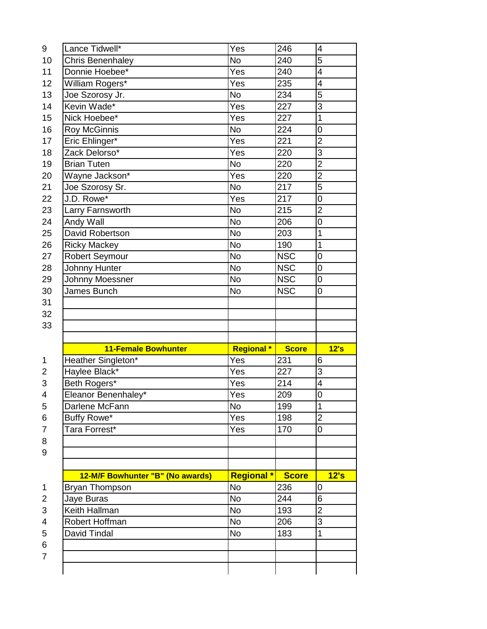| 9                                                                         | Lance Tidwell*                   | Yes               | 246          | $\overline{\mathbf{4}}$  |
|---------------------------------------------------------------------------|----------------------------------|-------------------|--------------|--------------------------|
| 10                                                                        | <b>Chris Benenhaley</b>          | <b>No</b>         | 240          | 5                        |
| 11                                                                        | Donnie Hoebee*                   | Yes               | 240          | 4                        |
| 12                                                                        | William Rogers*                  | Yes               | 235          | $\overline{\mathcal{A}}$ |
| 13                                                                        | Joe Szorosy Jr.                  | <b>No</b>         | 234          | 5                        |
| 14                                                                        | Kevin Wade*                      | Yes               | 227          | $\overline{3}$           |
| 15                                                                        | Nick Hoebee*                     | Yes               | 227          | $\mathbf{1}$             |
| 16                                                                        | <b>Roy McGinnis</b>              | <b>No</b>         | 224          | $\mathbf 0$              |
| 17                                                                        | Eric Ehlinger*                   | Yes               | 221          | $\overline{2}$           |
| 18                                                                        | Zack Delorso*                    | Yes               | 220          | 3                        |
| 19                                                                        | <b>Brian Tuten</b>               | <b>No</b>         | 220          | $\overline{c}$           |
| 20                                                                        | Wayne Jackson*                   | Yes               | 220          | $\overline{2}$           |
| 21                                                                        | Joe Szorosy Sr.                  | <b>No</b>         | 217          | $\overline{5}$           |
| 22                                                                        | J.D. Rowe*                       | Yes               | 217          | $\mathbf 0$              |
| 23                                                                        | Larry Farnsworth                 | <b>No</b>         | 215          | $\overline{c}$           |
| 24                                                                        | Andy Wall                        | <b>No</b>         | 206          | $\mathbf 0$              |
| 25                                                                        | David Robertson                  | N <sub>o</sub>    | 203          | $\mathbf{1}$             |
| 26                                                                        | <b>Ricky Mackey</b>              | <b>No</b>         | 190          | $\mathbf 1$              |
| 27                                                                        | <b>Robert Seymour</b>            | <b>No</b>         | <b>NSC</b>   | $\mathbf 0$              |
| 28                                                                        | Johnny Hunter                    | <b>No</b>         | <b>NSC</b>   | $\boldsymbol{0}$         |
| 29                                                                        | Johnny Moessner                  | <b>No</b>         | <b>NSC</b>   | $\mathbf 0$              |
| 30                                                                        | James Bunch                      | <b>No</b>         | <b>NSC</b>   | $\mathbf 0$              |
| 31                                                                        |                                  |                   |              |                          |
| 32                                                                        |                                  |                   |              |                          |
|                                                                           |                                  |                   |              |                          |
|                                                                           |                                  |                   |              |                          |
|                                                                           |                                  |                   |              |                          |
|                                                                           | <b>11-Female Bowhunter</b>       | <b>Regional</b> * | <b>Score</b> | 12's                     |
|                                                                           | Heather Singleton*               | Yes               | 231          | 6                        |
|                                                                           | Haylee Black*                    | Yes               | 227          | 3                        |
|                                                                           | Beth Rogers*                     | Yes               | 214          | $\overline{\mathbf{4}}$  |
|                                                                           | Eleanor Benenhaley*              | Yes               | 209          | $\mathbf 0$              |
|                                                                           | Darlene McFann                   | <b>No</b>         | 199          | 1                        |
|                                                                           | Buffy Rowe*                      | Yes               | 198          | $\overline{2}$           |
|                                                                           | Tara Forrest*                    | Yes               | 170          | 0                        |
|                                                                           |                                  |                   |              |                          |
|                                                                           |                                  |                   |              |                          |
| 33<br>1<br>$\overline{2}$<br>3<br>4<br>5<br>6<br>$\overline{7}$<br>8<br>9 |                                  |                   |              |                          |
|                                                                           | 12-M/F Bowhunter "B" (No awards) | <b>Regional *</b> | <b>Score</b> | 12's                     |
|                                                                           | Bryan Thompson                   | <b>No</b>         | 236          | 0                        |
|                                                                           | Jaye Buras                       | <b>No</b>         | 244          | 6                        |
| 1<br>$\overline{\mathbf{c}}$<br>3                                         | Keith Hallman                    | <b>No</b>         | 193          | $\overline{2}$           |
| 4                                                                         | Robert Hoffman                   | <b>No</b>         | 206          | 3                        |
| 5                                                                         | David Tindal                     | <b>No</b>         | 183          | $\mathbf 1$              |
| 6                                                                         |                                  |                   |              |                          |
| $\overline{7}$                                                            |                                  |                   |              |                          |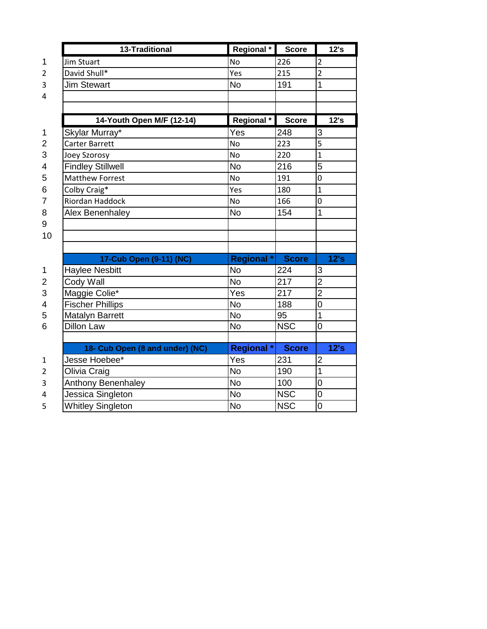|                | 13-Traditional                  | Regional *        | <b>Score</b> | 12's           |
|----------------|---------------------------------|-------------------|--------------|----------------|
| 1              | <b>Jim Stuart</b>               | <b>No</b>         | 226          | $\overline{2}$ |
| $\overline{2}$ | David Shull*                    | Yes               | 215          | $\overline{2}$ |
| 3              | <b>Jim Stewart</b>              | <b>No</b>         | 191          | $\mathbf 1$    |
| 4              |                                 |                   |              |                |
|                |                                 |                   |              |                |
|                | 14-Youth Open M/F (12-14)       | Regional *        | <b>Score</b> | 12's           |
| $\mathbf 1$    | Skylar Murray*                  | Yes               | 248          | 3              |
| $\overline{c}$ | Carter Barrett                  | <b>No</b>         | 223          | 5              |
| 3              | Joey Szorosy                    | <b>No</b>         | 220          | $\overline{1}$ |
| 4              | <b>Findley Stillwell</b>        | <b>No</b>         | 216          | $\overline{5}$ |
| 5              | <b>Matthew Forrest</b>          | <b>No</b>         | 191          | 0              |
| 6              | Colby Craig*                    | Yes               | 180          | $\mathbf{1}$   |
| $\overline{7}$ | Riordan Haddock                 | <b>No</b>         | 166          | 0              |
| 8              | Alex Benenhaley                 | <b>No</b>         | 154          | $\mathbf 1$    |
| 9              |                                 |                   |              |                |
| 10             |                                 |                   |              |                |
|                |                                 |                   |              |                |
|                | 17-Cub Open (9-11) (NC)         | <b>Regional</b> * | <b>Score</b> | 12's           |
| 1              | <b>Haylee Nesbitt</b>           | <b>No</b>         | 224          | 3              |
| 2              | Cody Wall                       | <b>No</b>         | 217          | $\overline{2}$ |
| 3              | Maggie Colie*                   | Yes               | 217          | $\overline{2}$ |
| 4              | <b>Fischer Phillips</b>         | <b>No</b>         | 188          | $\overline{0}$ |
| 5              | <b>Matalyn Barrett</b>          | <b>No</b>         | 95           | 1              |
| 6              | <b>Dillon Law</b>               | <b>No</b>         | <b>NSC</b>   | 0              |
|                |                                 |                   |              |                |
|                | 18- Cub Open (8 and under) (NC) | <b>Regional</b> * | <b>Score</b> | 12's           |
| $\mathbf{1}$   | Jesse Hoebee*                   | Yes               | 231          | 2              |
| $\overline{2}$ | Olivia Craig                    | <b>No</b>         | 190          | 1              |
| 3              | Anthony Benenhaley              | <b>No</b>         | 100          | 0              |
| 4              | Jessica Singleton               | <b>No</b>         | <b>NSC</b>   | 0              |
| 5              | <b>Whitley Singleton</b>        | <b>No</b>         | <b>NSC</b>   | $\overline{0}$ |